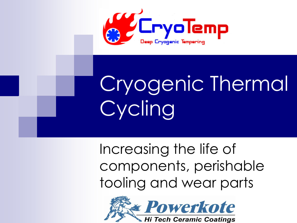

# Cryogenic Thermal Cycling

Increasing the life of components, perishable tooling and wear parts

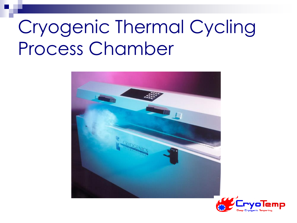#### Cryogenic Thermal Cycling Process Chamber



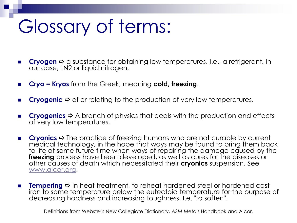#### Glossary of terms:

- **Cryogen**  $\triangle$  a substance for obtaining low temperatures. I.e., a refrigerant. In our case, LN2 or liquid nitrogen.
- **Cryo** = **Kryos** from the Greek, meaning **cold, freezing**.
- **Cryogenic**  $\Rightarrow$  of or relating to the production of very low temperatures.
- **Cryogenics**  $\Rightarrow$  A branch of physics that deals with the production and effects of very low temperatures.
- Cryonics  $\Rightarrow$  The practice of freezing humans who are not curable by current medical technology, in the hope that ways may be found to bring them back to life at some future time when ways of repairing the damage caused by the **freezing** process have been developed, as well as cures for the diseases or other causes of death which necessitated their **cryonics** suspension. See [www.alcor.org](http://www.alcor.org/).
- **Tempering**  $\Rightarrow$  In heat treatment, to reheat hardened steel or hardened cast iron to some temperature below the eutectoid temperature for the purpose of decreasing hardness and increasing toughness. I.e. "to soften".

Definitions from Webster's New Collegiate Dictionary, ASM Metals Handbook and Alcor.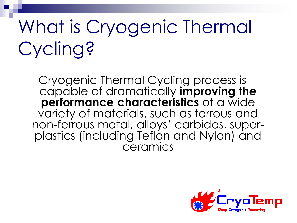### What is Cryogenic Thermal Cycling?

Cryogenic Thermal Cycling process is capable of dramatically **improving the performance characteristics** of a wide variety of materials, such as ferrous and non-ferrous metal, alloys' carbides, superplastics (including Teflon and Nylon) and ceramics

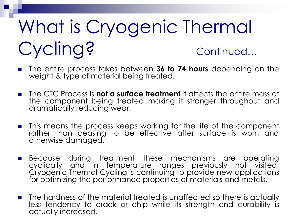### What is Cryogenic Thermal Cycling? continued...

- The entire process takes between 36 to 74 hours depending on the weight & type of material being treated.
- The CTC Process is **not a surface treatment** it affects the entire mass of the component being treated making it stronger throughout and dramatically reducing wear.
- **n** This means the process keeps working for the life of the component rather than ceasing to be effective after surface is worn and otherwise damaged.
- **Because during treatment these mechanisms are operating** cyclically and in temperature ranges previously not visited, Cryogenic Thermal Cycling is continuing to provide new applications for optimizing the performance properties of materials and metals.
- **The hardness of the material treated is unaffected so there is actually** less tendency to crack or chip while its strength and durability is actually increased.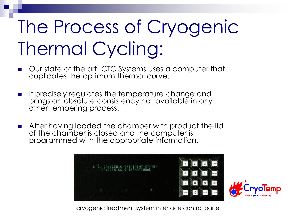#### The Process of Cryogenic Thermal Cycling:

- **Our state of the art CTC Systems uses a computer that** duplicates the optimum thermal curve.
- **If precisely regulates the temperature change and** brings an absolute consistency not available in any other tempering process.
- **After having loaded the chamber with product the lid** of the chamber is closed and the computer is programmed with the appropriate information.





cryogenic treatment system interface control panel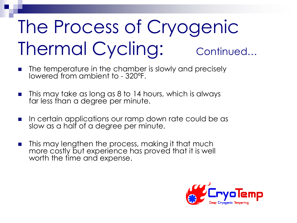### The Process of Cryogenic Thermal Cycling: continued...

- $\blacksquare$  The temperature in the chamber is slowly and precisely lowered from ambient to - 320ºF.
- **This may take as long as 8 to 14 hours, which is always** far less than a degree per minute.
- In certain applications our ramp down rate could be as slow as a half of a degree per minute.
- **n** This may lengthen the process, making it that much more costly but experience has proved that it is well worth the time and expense.

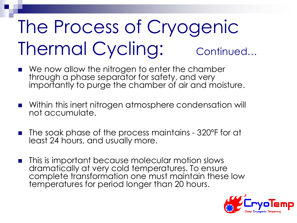### The Process of Cryogenic Thermal Cycling: continued...

- We now allow the nitrogen to enter the chamber through a phase separator for safety, and very importantly to purge the chamber of air and moisture.
- **Number 1** Within this inert nitrogen atmosphere condensation will not accumulate.
- The soak phase of the process maintains 320ºF for at least 24 hours, and usually more.
- This is important because molecular motion slows dramatically at very cold temperatures. To ensure complete transformation one must maintain these low temperatures for period longer than 20 hours.

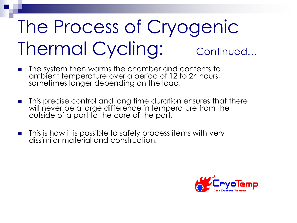### The Process of Cryogenic Thermal Cycling: continued...

- **n** The system then warms the chamber and contents to ambient temperature over a period of 12 to 24 hours, sometimes longer depending on the load.
- This precise control and long time duration ensures that there will never be a large difference in temperature from the outside of a part to the core of the part.
- $\blacksquare$  This is how it is possible to safely process items with very dissimilar material and construction.

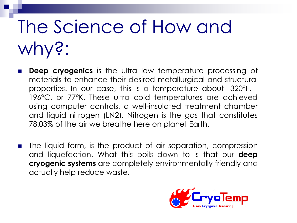#### The Science of How and why?:

- **Deep cryogenics** is the ultra low temperature processing of materials to enhance their desired metallurgical and structural properties. In our case, this is a temperature about -320°F, - 196°C, or 77°K. These ultra cold temperatures are achieved using computer controls, a well-insulated treatment chamber and liquid nitrogen (LN2). Nitrogen is the gas that constitutes 78.03% of the air we breathe here on planet Earth.
- **The liquid form, is the product of air separation, compression** and liquefaction. What this boils down to is that our **deep cryogenic systems** are completely environmentally friendly and actually help reduce waste.

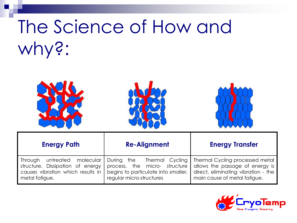#### The Science of How and why?:







| <b>Energy Path</b>                                                                                                        | <b>Re-Alignment</b>                                                                                                               | <b>Energy Transfer</b>                                                                                                                    |
|---------------------------------------------------------------------------------------------------------------------------|-----------------------------------------------------------------------------------------------------------------------------------|-------------------------------------------------------------------------------------------------------------------------------------------|
| untreated molecular<br>Through<br>structure. Dissipation of energy<br>causes vibration which results in<br>metal fatigue. | During the<br>Thermal Cycling<br>process, the micro- structure<br>begins to particulate into smaller,<br>regular micro-structures | Thermal Cycling processed metal<br>allows the passage of energy is<br>direct, eliminating vibration - the<br>main cause of metal fatigue. |

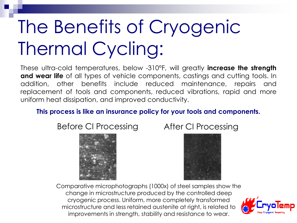### The Benefits of Cryogenic Thermal Cycling:

These ultra-cold temperatures, below -310°F, will greatly **increase the strength and wear life** of all types of vehicle components, castings and cutting tools. In addition, other benefits include reduced maintenance, repairs and replacement of tools and components, reduced vibrations, rapid and more uniform heat dissipation, and improved conductivity.

#### **This process is like an insurance policy for your tools and components.**

Before CI Processing After CI Processing





Comparative microphotographs (1000x) of steel samples show the change in microstructure produced by the controlled deep cryogenic process. Uniform, more completely transformed microstructure and less retained austenite at right, is related to improvements in strength, stability and resistance to wear.

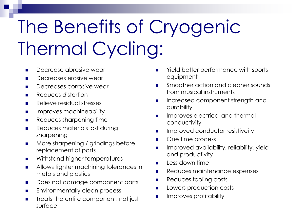### The Benefits of Cryogenic Thermal Cycling:

- **Decrease abrasive wear**
- Decreases erosive wear
- **Decreases corrosive wear**
- **Reduces distortion**
- **Relieve residual stresses**
- **IMPROVES machineability**
- **Reduces sharpening time**
- **Reduces materials lost during** sharpening
- **More sharpening / grindings before** replacement of parts
- **Nithstand higher temperatures**
- **Allows tighter machining tolerances in** metals and plastics
- Does not damage component parts
- **Environmentally clean process**
- **Treats the entire component, not just** surface
- Yield better performance with sports equipment
- **Smoother action and cleaner sounds** from musical instruments
- **Increased component strength and** durability
- **IMPROVES electrical and thermal** conductivity
- **IMPROVED CONDUCTOR RESISTIVEITY**
- One time process
- **IMPROVED AVAILABILITY, reliability, yield** and productivity
- $\blacksquare$  Less down time
- **Reduces maintenance expenses**
- **Reduces tooling costs**
- **Lowers production costs**
- Improves profitability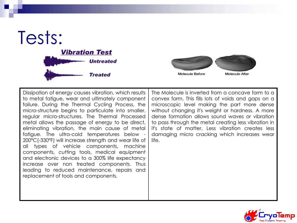



Dissipation of energy causes vibration, which results to metal fatigue, wear and ultimately component failure. During the Thermal Cycling Process, the micro-structure begins to particulate into smaller, regular micro-structures. The Thermal Processed metal allows the passage of energy to be direct, eliminating vibration, the main cause of metal fatigue. The ultra-cold temperatures below - 200°C(-330°F) will increase strength and wear life of all types of vehicle components, machine components, cutting tools, medical equipment and electronic devices to a 300% life expectancy increase over non treated components. Thus leading to reduced maintenance, repairs and replacement of tools and components.

The Molecule is inverted from a concave form to a convex form. This fills lots of voids and gaps on a microscopic level making the part more dense without changing it's weight or hardness. A more dense formation allows sound waves or vibration to pass through the metal creating less vibration in it's state of matter, Less vibration creates less damaging micro cracking which increases wear life.

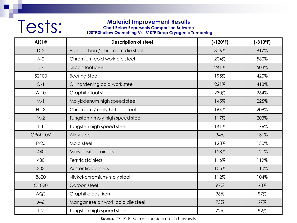#### Material Improvement Results<br>Charl Below Represents Comparison Betwee<br>120°F Shallow Quenching Vs.-310°F Deep Cryogenic

**Chart Below Represents Comparison Between** 

**-120°F Shallow Quenching Vs.-310°F Deep Cryogenic Tempering**

| AISI#          | <b>Description of steel</b>       | $(-120°F)$ | $(-310^{\circ}F)$ |
|----------------|-----------------------------------|------------|-------------------|
| $D-2$          | High carbon / chromium die steel  | 316%       | 817%              |
| $A-2$          | Chromium cold work die steel      | 204%       | 560%              |
| $S-7$          | Silicon tool steel                | 241%       | 503%              |
| 52100          | <b>Bearing Steel</b>              | 195%       | 420%              |
| $O-1$          | Oil hardening cold work steel     | 221%       | 418%              |
| $A-10$         | Graphite tool steel               | 230%       | 264%              |
| $M-1$          | Molybdenum high speed steel       | 145%       | 225%              |
| $H-13$         | Chromium / moly hot die steel     | 164%       | 209%              |
| $M-2$          | Tungsten / moly high speed steel  | 117%       | 203%              |
| $T-1$          | Tungsten high speed steel         | 141%       | 176%              |
| <b>CPM-10V</b> | Alloy steel                       | 94%        | 131%              |
| $P-20$         | Mold steel                        | 123%       | 130%              |
| 440            | Marstensitic stainless            | 128%       | 121%              |
| 430            | Ferritic stainless                | 116%       | 119%              |
| 303            | Austentic stainless               | 105%       | 110%              |
| 8620           | Nickel-chromium-moly steel        | 112%       | 104%              |
| C1020          | Carbon steel                      | 97%        | 98%               |
| AGS            | Graphitic cast iron               | 96%        | 97%               |
| $A-6$          | Manganese air work cold die steel | 73%        | 97%               |
| $T-2$          | Tungsten high speed steel         | 72%        | 92%               |

**Source:** Dr. R. F. Barron, Louisiana Tech University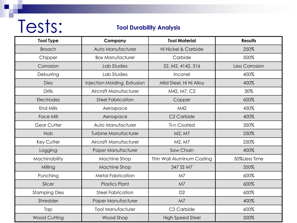## Tests:

#### **Tool Durability Analysis**

| <b>Tool Type</b>     | Company                      | <b>Tool Material</b>       | <b>Results</b> |
|----------------------|------------------------------|----------------------------|----------------|
| <b>Broach</b>        | Auto Manufacturer            | Hi Nickel & Carbide        | 250%           |
| Chipper              | <b>Box Manufacturer</b>      | Carbide                    | 500%           |
| Corrosion            | Lab Studies                  | S2, M2, 4142, 316          | Less Corrosion |
| Deburring            | Lab Studies                  | Inconel                    | 400%           |
| <b>Dies</b>          | Injection Molding, Extrusion | Mild Steel, Hi Ni Alloy    | 400%           |
| <b>Drills</b>        | Aircraft Manufacturer        | M42, M7, C2                | 30%            |
| Electrodes           | <b>Steel Fabrication</b>     | Copper                     | 600%           |
| End Mills            | Aerospace                    | M42                        | 450%           |
| <b>Face Mill</b>     | Aerospace                    | C <sub>2</sub> Carbide     | 400%           |
| <b>Gear Cutter</b>   | Auto Manufacturer            | <b>Ti-n Coated</b>         | 350%           |
| Hob                  | <b>Turbine Manufacturer</b>  | M2, M7                     | 250%           |
| Key Cutter           | Aircraft Manufacturer        | M2, M7                     | 250%           |
| Logging              | Paper Manufacturer           | Saw Chain                  | 400%           |
| Machinability        | Machine Shop                 | Thin Wall Aluminum Casting | 50%Lless Time  |
| Milling              | Machine Shop                 | 347 SS M7                  | 350%           |
| Punching             | <b>Metal Fabrication</b>     | M7                         | 600%           |
| Slicer               | <b>Plastics Plant</b>        | M <sub>7</sub>             | 600%           |
| <b>Stamping Dies</b> | <b>Steel Fabrication</b>     | D <sub>2</sub>             | 600%           |
| Shredder             | Paper Manufacturer           | M <sub>7</sub>             | 400%           |
| Tap                  | <b>Tool Manufacturer</b>     | C <sub>2</sub> Carbide     | 600%           |
| <b>Wood Cutting</b>  | Wood Shop                    | <b>High Speed Steel</b>    | 500%           |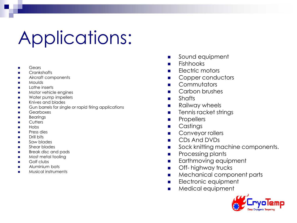#### Applications:

- Gears
- **Crankshafts**
- Aircraft components
- Moulds
- Lathe inserts
- Motor vehicle engines
- Water pump impellers
- Knives and blades
- Gun barrels for single or rapid firing applications
- Gearboxes
- Bearings
- Cutters
- **Hobs**
- Press dies
- Drill bits
- Saw blades
- Shear blades
- Break disc and pads
- Most metal tooling
- Golf clubs
- Aluminium bats
- Musical instruments
- **Sound equipment**
- **Fishhooks**
- $\blacksquare$  Electric motors
- Copper conductors
- **E** Commutators
- **Carbon brushes**
- **B** Shafts
- Railway wheels
- **Tennis racket strings**
- **Propellers**
- **Castings**
- **Conveyor rollers**
- CDs And DVDs
- sock knitting machine components.
- **Processing plants**
- **Earthmoving equipment**
- **Off-** highway trucks
- **Mechanical component parts**
- **Electronic equipment**
- **Medical equipment**

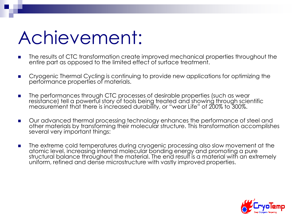#### Achievement:

- **The results of CTC transformation create improved mechanical properties throughout the** entire part as opposed to the limited effect of surface treatment.
- **Cryogenic Thermal Cycling is continuing to provide new applications for optimizing the** performance properties of materials.
- **The performances through CTC processes of desirable properties (such as wear** resistance) tell a powerful story of tools being treated and showing through scientific measurement that there is increased durability, or "wear Life" of 200% to 300%.
- **Duradvanced thermal processing technology enhances the performance of steel and** other materials by transforming their molecular structure. This transformation accomplishes several very important things:
- **The extreme cold temperatures during cryogenic processing also slow movement at the** atomic level, increasing internal molecular bonding energy and promoting a pure structural balance throughout the material. The end result is a material with an extremely uniform, refined and dense microstructure with vastly improved properties.

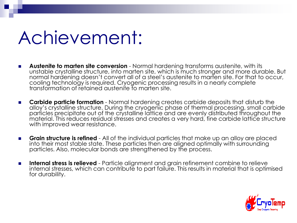#### Achievement:

- **Austenite to marten site conversion** Normal hardening transforms austenite, with its unstable crystalline structure, into marten site, which is much stronger and more durable. But normal hardening doesn't convert all of a steel's austenite to marten site. For that to occur, cooling technology is required. Cryogenic processing results in a nearly complete transformation of retained austenite to marten site.
- **Carbide particle formation** Normal hardening creates carbide deposits that disturb the alloy's crystalline structure. During the cryogenic phase of thermal processing, small carbide particles precipitate out of the crystalline lattice and are evenly distributed throughout the material. This reduces residual stresses and creates a very hard, fine carbide lattice structure with improved wear resistance.
- **Grain structure is refined** All of the individual particles that make up an alloy are placed into their most stable state. These particles then are aligned optimally with surrounding particles. Also, molecular bonds are strengthened by the process.
- **Internal stress is relieved** Particle alignment and grain refinement combine to relieve internal stresses, which can contribute to part failure. This results in material that is optimised for durability.

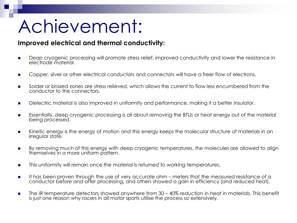#### Achievement:

#### **Improved electrical and thermal conductivity:**

- **Deap cryogenic processing will promote stress relief, improved conductivity and lower the resistance in** electrode material.
- **Copper, silver or other electrical conductors and connectors will have a freer flow of electrons.**
- Solder or brazed zones are stress relieved, which allows the current to flow less encumbered from the conductor to the connectors.
- Dielectric material is also improved in uniformity and performance, making it a better insulator.
- **Essentially, deep cryogenic processing is all about removing the BTUs or heat energy out of the material** being processed.
- **Kinetic energy is the energy of motion and this energy keeps the molecular structure of materials in an** irregular state.
- By removing much of this energy with deep cryogenic temperatures, the molecules are allowed to align themselves in a more uniform pattern.
- **This uniformity will remain once the material is returned to working temperatures.**
- It has been proven through the use of very accurate ohm meters that the measured resistance of a conductor before and after processing, and others showed a gain in efficiency (and reduced heat).
- **The IR temperature detectors showed anywhere from 30 40% reduction in heat in materials. This benefit** is just one reason why racers in all motor sports utilise the process so extensively.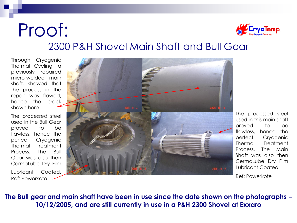#### Proof: 2300 P&H Shovel Main Shaft and Bull Gear

Through Cryogenic Thermal Cycling, a previously repaired micro-welded main shaft, showed that the process in the repair was flawed, hence the crack shown here

The processed steel used in the Bull Gear proved to be flawless, hence the perfect Cryogenic Thermal Treatment Process. The Bull Gear was also then CermaLube Dry Film Lubricant Coated. Ref: Powerkote



The processed steel used in this main shaft proved to be flawless, hence the perfect Cryogenic Thermal Treatment Process. The Main Shaft was also then CermaLube Dry Film Lubricant Coated.

Ref: Powerkote

**The Bull gear and main shaft have been in use since the date shown on the photographs – 10/12/2005, and are still currently in use in a P&H 2300 Shovel at Exxaro**